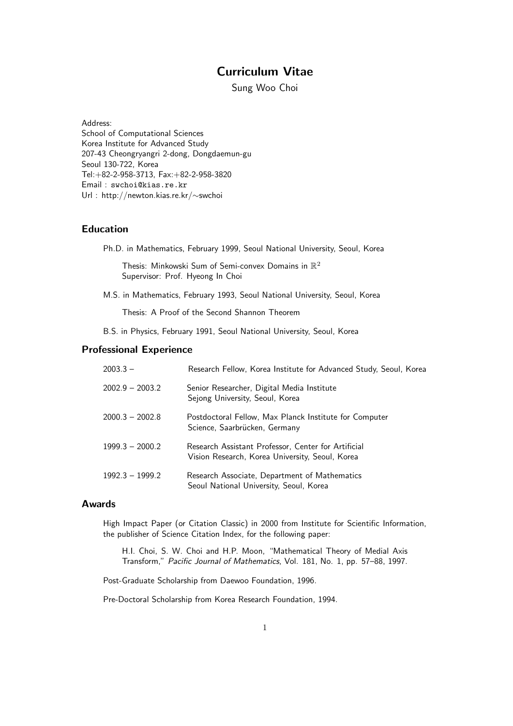# Curriculum Vitae

Sung Woo Choi

Address: School of Computational Sciences Korea Institute for Advanced Study 207-43 Cheongryangri 2-dong, Dongdaemun-gu Seoul 130-722, Korea Tel:+82-2-958-3713, Fax:+82-2-958-3820 Email : swchoi@kias.re.kr Url : http://newton.kias.re.kr/∼swchoi

## Education

Ph.D. in Mathematics, February 1999, Seoul National University, Seoul, Korea

Thesis: Minkowski Sum of Semi-convex Domains in  $\mathbb{R}^2$ Supervisor: Prof. Hyeong In Choi

M.S. in Mathematics, February 1993, Seoul National University, Seoul, Korea

Thesis: A Proof of the Second Shannon Theorem

B.S. in Physics, February 1991, Seoul National University, Seoul, Korea

## Professional Experience

| $2003.3 -$        | Research Fellow, Korea Institute for Advanced Study, Seoul, Korea                                      |
|-------------------|--------------------------------------------------------------------------------------------------------|
| $2002.9 - 2003.2$ | Senior Researcher, Digital Media Institute<br>Sejong University, Seoul, Korea                          |
| $2000.3 - 2002.8$ | Postdoctoral Fellow, Max Planck Institute for Computer<br>Science, Saarbrücken, Germany                |
| $1999.3 - 2000.2$ | Research Assistant Professor, Center for Artificial<br>Vision Research, Korea University, Seoul, Korea |
| $1992.3 - 1999.2$ | Research Associate, Department of Mathematics<br>Seoul National University, Seoul, Korea               |

## Awards

High Impact Paper (or Citation Classic) in 2000 from Institute for Scientific Information, the publisher of Science Citation Index, for the following paper:

H.I. Choi, S. W. Choi and H.P. Moon, "Mathematical Theory of Medial Axis Transform," Pacific Journal of Mathematics, Vol. 181, No. 1, pp. 57–88, 1997.

Post-Graduate Scholarship from Daewoo Foundation, 1996.

Pre-Doctoral Scholarship from Korea Research Foundation, 1994.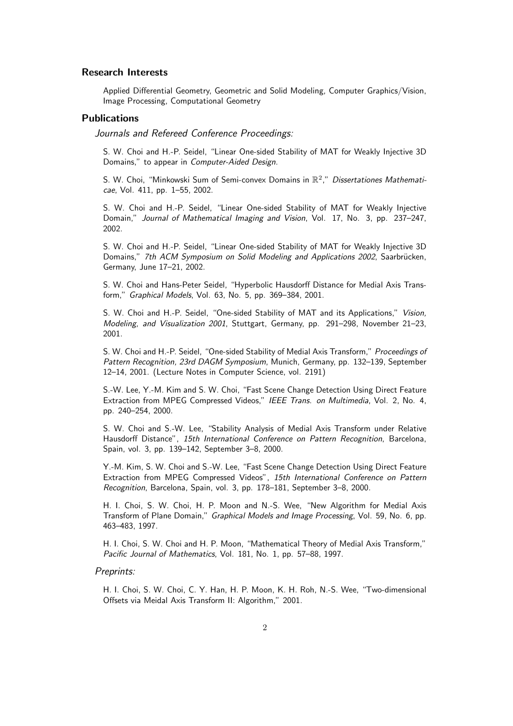## Research Interests

Applied Differential Geometry, Geometric and Solid Modeling, Computer Graphics/Vision, Image Processing, Computational Geometry

#### Publications

Journals and Refereed Conference Proceedings:

S. W. Choi and H.-P. Seidel, "Linear One-sided Stability of MAT for Weakly Injective 3D Domains," to appear in Computer-Aided Design.

S. W. Choi, "Minkowski Sum of Semi-convex Domains in  $\mathbb{R}^2$ ," Dissertationes Mathematicae, Vol. 411, pp. 1–55, 2002.

S. W. Choi and H.-P. Seidel, "Linear One-sided Stability of MAT for Weakly Injective Domain," Journal of Mathematical Imaging and Vision, Vol. 17, No. 3, pp. 237–247, 2002.

S. W. Choi and H.-P. Seidel, "Linear One-sided Stability of MAT for Weakly Injective 3D Domains," 7th ACM Symposium on Solid Modeling and Applications 2002, Saarbrücken, Germany, June 17–21, 2002.

S. W. Choi and Hans-Peter Seidel, "Hyperbolic Hausdorff Distance for Medial Axis Transform," Graphical Models, Vol. 63, No. 5, pp. 369–384, 2001.

S. W. Choi and H.-P. Seidel, "One-sided Stability of MAT and its Applications," Vision, Modeling, and Visualization 2001, Stuttgart, Germany, pp. 291–298, November 21–23, 2001.

S. W. Choi and H.-P. Seidel, "One-sided Stability of Medial Axis Transform," Proceedings of Pattern Recognition, 23rd DAGM Symposium, Munich, Germany, pp. 132–139, September 12–14, 2001. (Lecture Notes in Computer Science, vol. 2191)

S.-W. Lee, Y.-M. Kim and S. W. Choi, "Fast Scene Change Detection Using Direct Feature Extraction from MPEG Compressed Videos," IEEE Trans. on Multimedia, Vol. 2, No. 4, pp. 240–254, 2000.

S. W. Choi and S.-W. Lee, "Stability Analysis of Medial Axis Transform under Relative Hausdorff Distance", 15th International Conference on Pattern Recognition, Barcelona, Spain, vol. 3, pp. 139–142, September 3–8, 2000.

Y.-M. Kim, S. W. Choi and S.-W. Lee, "Fast Scene Change Detection Using Direct Feature Extraction from MPEG Compressed Videos", 15th International Conference on Pattern Recognition, Barcelona, Spain, vol. 3, pp. 178–181, September 3–8, 2000.

H. I. Choi, S. W. Choi, H. P. Moon and N.-S. Wee, "New Algorithm for Medial Axis Transform of Plane Domain," Graphical Models and Image Processing, Vol. 59, No. 6, pp. 463–483, 1997.

H. I. Choi, S. W. Choi and H. P. Moon, "Mathematical Theory of Medial Axis Transform," Pacific Journal of Mathematics, Vol. 181, No. 1, pp. 57–88, 1997.

### Preprints:

H. I. Choi, S. W. Choi, C. Y. Han, H. P. Moon, K. H. Roh, N.-S. Wee, "Two-dimensional Offsets via Meidal Axis Transform II: Algorithm," 2001.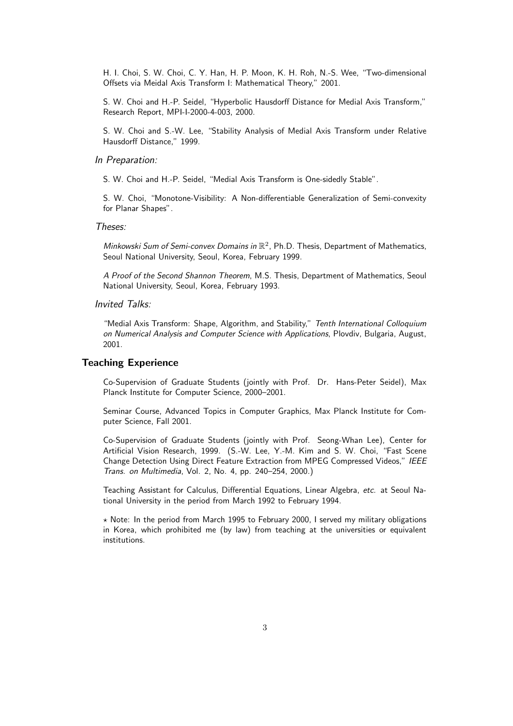H. I. Choi, S. W. Choi, C. Y. Han, H. P. Moon, K. H. Roh, N.-S. Wee, "Two-dimensional Offsets via Meidal Axis Transform I: Mathematical Theory," 2001.

S. W. Choi and H.-P. Seidel, "Hyperbolic Hausdorff Distance for Medial Axis Transform," Research Report, MPI-I-2000-4-003, 2000.

S. W. Choi and S.-W. Lee, "Stability Analysis of Medial Axis Transform under Relative Hausdorff Distance," 1999.

#### In Preparation:

S. W. Choi and H.-P. Seidel, "Medial Axis Transform is One-sidedly Stable".

S. W. Choi, "Monotone-Visibility: A Non-differentiable Generalization of Semi-convexity for Planar Shapes".

### Theses:

Minkowski Sum of Semi-convex Domains in  $\mathbb{R}^2$ , Ph.D. Thesis, Department of Mathematics, Seoul National University, Seoul, Korea, February 1999.

A Proof of the Second Shannon Theorem, M.S. Thesis, Department of Mathematics, Seoul National University, Seoul, Korea, February 1993.

### Invited Talks:

"Medial Axis Transform: Shape, Algorithm, and Stability," Tenth International Colloquium on Numerical Analysis and Computer Science with Applications, Plovdiv, Bulgaria, August, 2001.

## Teaching Experience

Co-Supervision of Graduate Students (jointly with Prof. Dr. Hans-Peter Seidel), Max Planck Institute for Computer Science, 2000–2001.

Seminar Course, Advanced Topics in Computer Graphics, Max Planck Institute for Computer Science, Fall 2001.

Co-Supervision of Graduate Students (jointly with Prof. Seong-Whan Lee), Center for Artificial Vision Research, 1999. (S.-W. Lee, Y.-M. Kim and S. W. Choi, "Fast Scene Change Detection Using Direct Feature Extraction from MPEG Compressed Videos," IEEE Trans. on Multimedia, Vol. 2, No. 4, pp. 240–254, 2000.)

Teaching Assistant for Calculus, Differential Equations, Linear Algebra, etc. at Seoul National University in the period from March 1992 to February 1994.

 $\star$  Note: In the period from March 1995 to February 2000, I served my military obligations in Korea, which prohibited me (by law) from teaching at the universities or equivalent institutions.